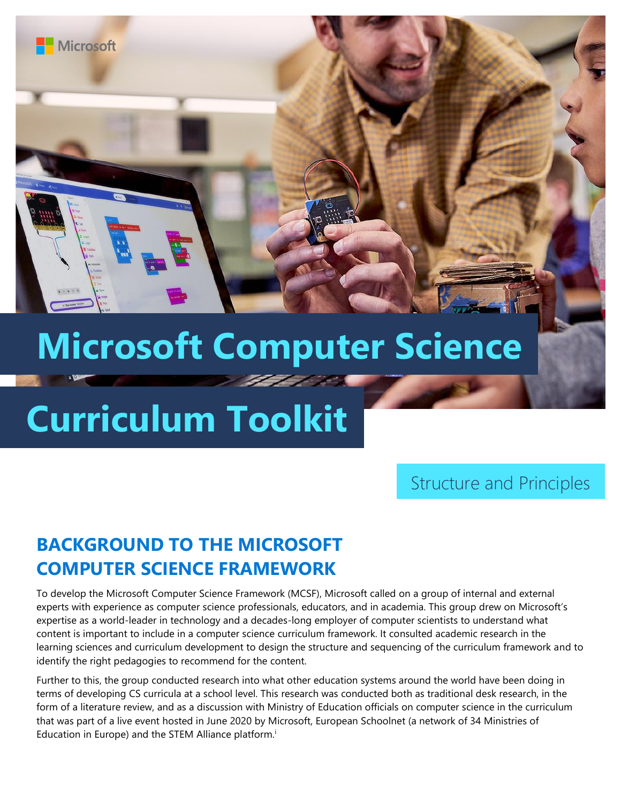

# **Microsoft Computer Science**

# **Curriculum Toolkit**

**Microsoft** 

Structure and Principles

# **BACKGROUND TO THE MICROSOFT COMPUTER SCIENCE FRAMEWORK**

To develop the Microsoft Computer Science Framework (MCSF), Microsoft called on a group of internal and external experts with experience as computer science professionals, educators, and in academia. This group drew on Microsoft's expertise as a world-leader in technology and a decades-long employer of computer scientists to understand what content is important to include in a computer science curriculum framework. It consulted academic research in the learning sciences and curriculum development to design the structure and sequencing of the curriculum framework and to identify the right pedagogies to recommend for the content.

Further to this, the group conducted research into what other education systems around the world have been doing in terms of developing CS curricula at a school level. This research was conducted both as traditional desk research, in the form of a literature review, and as a discussion with Ministry of Education officials on computer science in the curriculum that was part of a live event hosted in June 2020 by Microsoft, European Schoolnet (a network of 34 Ministries of Education in Europe) and the STEM Alliance platform.<sup>i</sup>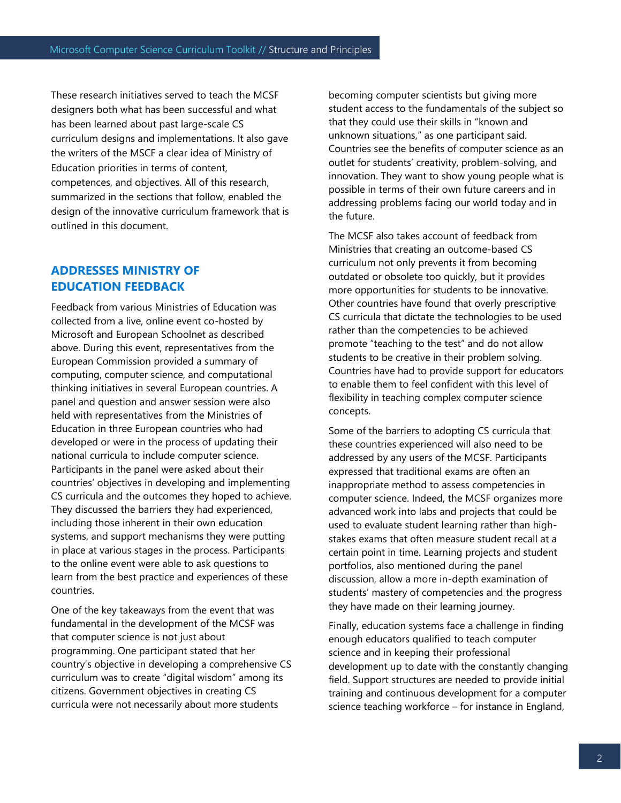These research initiatives served to teach the MCSF designers both what has been successful and what has been learned about past large-scale CS curriculum designs and implementations. It also gave the writers of the MSCF a clear idea of Ministry of Education priorities in terms of content, competences, and objectives. All of this research, summarized in the sections that follow, enabled the design of the innovative curriculum framework that is outlined in this document.

# **ADDRESSES MINISTRY OF EDUCATION FEEDBACK**

Feedback from various Ministries of Education was collected from a live, online event co-hosted by Microsoft and European Schoolnet as described above. During this event, representatives from the European Commission provided a summary of computing, computer science, and computational thinking initiatives in several European countries. A panel and question and answer session were also held with representatives from the Ministries of Education in three European countries who had developed or were in the process of updating their national curricula to include computer science. Participants in the panel were asked about their countries' objectives in developing and implementing CS curricula and the outcomes they hoped to achieve. They discussed the barriers they had experienced, including those inherent in their own education systems, and support mechanisms they were putting in place at various stages in the process. Participants to the online event were able to ask questions to learn from the best practice and experiences of these countries.

One of the key takeaways from the event that was fundamental in the development of the MCSF was that computer science is not just about programming. One participant stated that her country's objective in developing a comprehensive CS curriculum was to create "digital wisdom" among its citizens. Government objectives in creating CS curricula were not necessarily about more students

becoming computer scientists but giving more student access to the fundamentals of the subject so that they could use their skills in "known and unknown situations," as one participant said. Countries see the benefits of computer science as an outlet for students' creativity, problem-solving, and innovation. They want to show young people what is possible in terms of their own future careers and in addressing problems facing our world today and in the future.

The MCSF also takes account of feedback from Ministries that creating an outcome-based CS curriculum not only prevents it from becoming outdated or obsolete too quickly, but it provides more opportunities for students to be innovative. Other countries have found that overly prescriptive CS curricula that dictate the technologies to be used rather than the competencies to be achieved promote "teaching to the test" and do not allow students to be creative in their problem solving. Countries have had to provide support for educators to enable them to feel confident with this level of flexibility in teaching complex computer science concepts.

Some of the barriers to adopting CS curricula that these countries experienced will also need to be addressed by any users of the MCSF. Participants expressed that traditional exams are often an inappropriate method to assess competencies in computer science. Indeed, the MCSF organizes more advanced work into labs and projects that could be used to evaluate student learning rather than highstakes exams that often measure student recall at a certain point in time. Learning projects and student portfolios, also mentioned during the panel discussion, allow a more in-depth examination of students' mastery of competencies and the progress they have made on their learning journey.

Finally, education systems face a challenge in finding enough educators qualified to teach computer science and in keeping their professional development up to date with the constantly changing field. Support structures are needed to provide initial training and continuous development for a computer science teaching workforce – for instance in England,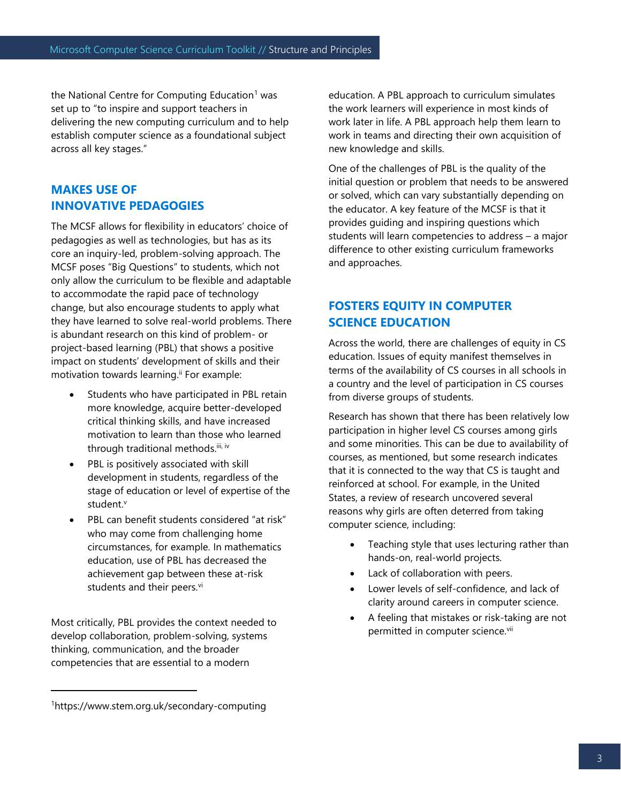the National Centre for Computing Education<sup>1</sup> was set up to "to inspire and support teachers in delivering the new computing curriculum and to help establish computer science as a foundational subject across all key stages."

# **MAKES USE OF INNOVATIVE PEDAGOGIES**

The MCSF allows for flexibility in educators' choice of pedagogies as well as technologies, but has as its core an inquiry-led, problem-solving approach. The MCSF poses "Big Questions" to students, which not only allow the curriculum to be flexible and adaptable to accommodate the rapid pace of technology change, but also encourage students to apply what they have learned to solve real-world problems. There is abundant research on this kind of problem- or project-based learning (PBL) that shows a positive impact on students' development of skills and their motivation towards learning.<sup>ii</sup> For example:

- Students who have participated in PBL retain more knowledge, acquire better-developed critical thinking skills, and have increased motivation to learn than those who learned through traditional methods.<sup>iii, iv</sup>
- PBL is positively associated with skill development in students, regardless of the stage of education or level of expertise of the student.<sup>v</sup>
- PBL can benefit students considered "at risk" who may come from challenging home circumstances, for example. In mathematics education, use of PBL has decreased the achievement gap between these at-risk students and their peers.<sup>vi</sup>

Most critically, PBL provides the context needed to develop collaboration, problem-solving, systems thinking, communication, and the broader competencies that are essential to a modern

education. A PBL approach to curriculum simulates the work learners will experience in most kinds of work later in life. A PBL approach help them learn to work in teams and directing their own acquisition of new knowledge and skills.

One of the challenges of PBL is the quality of the initial question or problem that needs to be answered or solved, which can vary substantially depending on the educator. A key feature of the MCSF is that it provides guiding and inspiring questions which students will learn competencies to address – a major difference to other existing curriculum frameworks and approaches.

# **FOSTERS EQUITY IN COMPUTER SCIENCE EDUCATION**

Across the world, there are challenges of equity in CS education. Issues of equity manifest themselves in terms of the availability of CS courses in all schools in a country and the level of participation in CS courses from diverse groups of students.

Research has shown that there has been relatively low participation in higher level CS courses among girls and some minorities. This can be due to availability of courses, as mentioned, but some research indicates that it is connected to the way that CS is taught and reinforced at school. For example, in the United States, a review of research uncovered several reasons why girls are often deterred from taking computer science, including:

- Teaching style that uses lecturing rather than hands-on, real-world projects.
- Lack of collaboration with peers.
- Lower levels of self-confidence, and lack of clarity around careers in computer science.
- A feeling that mistakes or risk-taking are not permitted in computer science.vii

<sup>1</sup>https://www.stem.org.uk/secondary-computing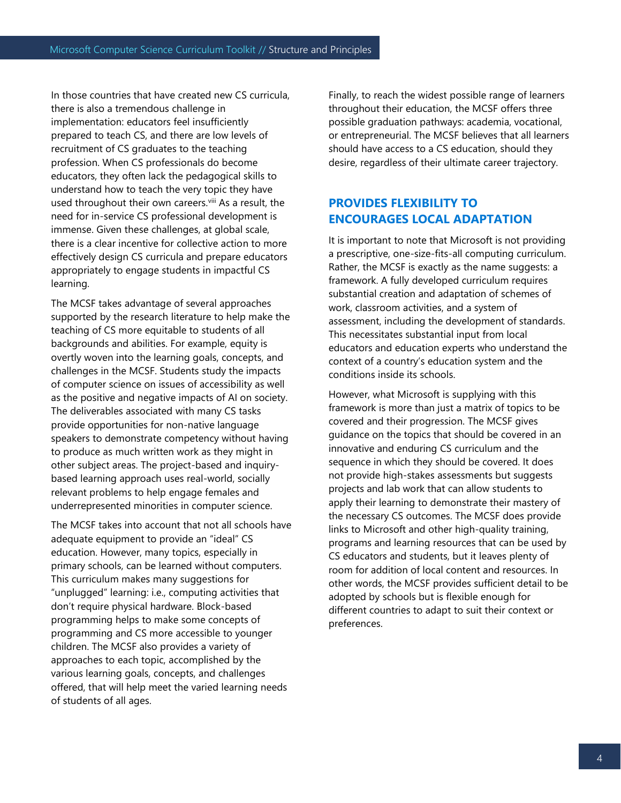In those countries that have created new CS curricula, there is also a tremendous challenge in implementation: educators feel insufficiently prepared to teach CS, and there are low levels of recruitment of CS graduates to the teaching profession. When CS professionals do become educators, they often lack the pedagogical skills to understand how to teach the very topic they have used throughout their own careers.<sup>viii</sup> As a result, the need for in-service CS professional development is immense. Given these challenges, at global scale, there is a clear incentive for collective action to more effectively design CS curricula and prepare educators appropriately to engage students in impactful CS learning.

The MCSF takes advantage of several approaches supported by the research literature to help make the teaching of CS more equitable to students of all backgrounds and abilities. For example, equity is overtly woven into the learning goals, concepts, and challenges in the MCSF. Students study the impacts of computer science on issues of accessibility as well as the positive and negative impacts of AI on society. The deliverables associated with many CS tasks provide opportunities for non-native language speakers to demonstrate competency without having to produce as much written work as they might in other subject areas. The project-based and inquirybased learning approach uses real-world, socially relevant problems to help engage females and underrepresented minorities in computer science.

The MCSF takes into account that not all schools have adequate equipment to provide an "ideal" CS education. However, many topics, especially in primary schools, can be learned without computers. This curriculum makes many suggestions for "unplugged" learning: i.e., computing activities that don't require physical hardware. Block-based programming helps to make some concepts of programming and CS more accessible to younger children. The MCSF also provides a variety of approaches to each topic, accomplished by the various learning goals, concepts, and challenges offered, that will help meet the varied learning needs of students of all ages.

Finally, to reach the widest possible range of learners throughout their education, the MCSF offers three possible graduation pathways: academia, vocational, or entrepreneurial. The MCSF believes that all learners should have access to a CS education, should they desire, regardless of their ultimate career trajectory.

# **PROVIDES FLEXIBILITY TO ENCOURAGES LOCAL ADAPTATION**

It is important to note that Microsoft is not providing a prescriptive, one-size-fits-all computing curriculum. Rather, the MCSF is exactly as the name suggests: a framework. A fully developed curriculum requires substantial creation and adaptation of schemes of work, classroom activities, and a system of assessment, including the development of standards. This necessitates substantial input from local educators and education experts who understand the context of a country's education system and the conditions inside its schools.

However, what Microsoft is supplying with this framework is more than just a matrix of topics to be covered and their progression. The MCSF gives guidance on the topics that should be covered in an innovative and enduring CS curriculum and the sequence in which they should be covered. It does not provide high-stakes assessments but suggests projects and lab work that can allow students to apply their learning to demonstrate their mastery of the necessary CS outcomes. The MCSF does provide links to Microsoft and other high-quality training, programs and learning resources that can be used by CS educators and students, but it leaves plenty of room for addition of local content and resources. In other words, the MCSF provides sufficient detail to be adopted by schools but is flexible enough for different countries to adapt to suit their context or preferences.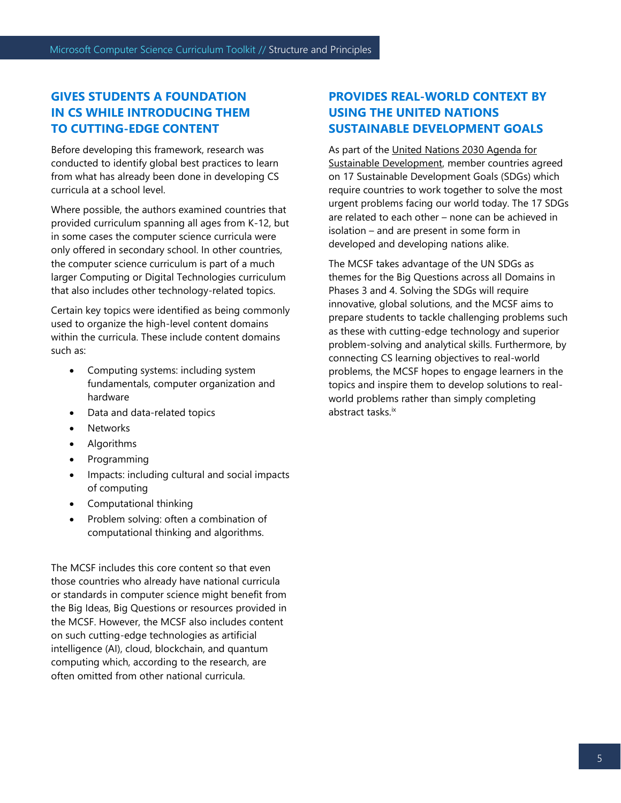# **GIVES STUDENTS A FOUNDATION IN CS WHILE INTRODUCING THEM TO CUTTING-EDGE CONTENT**

Before developing this framework, research was conducted to identify global best practices to learn from what has already been done in developing CS curricula at a school level.

Where possible, the authors examined countries that provided curriculum spanning all ages from K-12, but in some cases the computer science curricula were only offered in secondary school. In other countries, the computer science curriculum is part of a much larger Computing or Digital Technologies curriculum that also includes other technology-related topics.

Certain key topics were identified as being commonly used to organize the high-level content domains within the curricula. These include content domains such as:

- Computing systems: including system fundamentals, computer organization and hardware
- Data and data-related topics
- **Networks**
- Algorithms
- Programming
- Impacts: including cultural and social impacts of computing
- Computational thinking
- Problem solving: often a combination of computational thinking and algorithms.

The MCSF includes this core content so that even those countries who already have national curricula or standards in computer science might benefit from the Big Ideas, Big Questions or resources provided in the MCSF. However, the MCSF also includes content on such cutting-edge technologies as artificial intelligence (AI), cloud, blockchain, and quantum computing which, according to the research, are often omitted from other national curricula.

# **PROVIDES REAL-WORLD CONTEXT BY USING THE UNITED NATIONS SUSTAINABLE DEVELOPMENT GOALS**

As part of the [United Nations 2030 Agenda for](https://sdgs.un.org/goals)  [Sustainable Development,](https://sdgs.un.org/goals) member countries agreed on 17 Sustainable Development Goals (SDGs) which require countries to work together to solve the most urgent problems facing our world today. The 17 SDGs are related to each other – none can be achieved in isolation – and are present in some form in developed and developing nations alike.

The MCSF takes advantage of the UN SDGs as themes for the Big Questions across all Domains in Phases 3 and 4. Solving the SDGs will require innovative, global solutions, and the MCSF aims to prepare students to tackle challenging problems such as these with cutting-edge technology and superior problem-solving and analytical skills. Furthermore, by connecting CS learning objectives to real-world problems, the MCSF hopes to engage learners in the topics and inspire them to develop solutions to realworld problems rather than simply completing abstract tasks.ix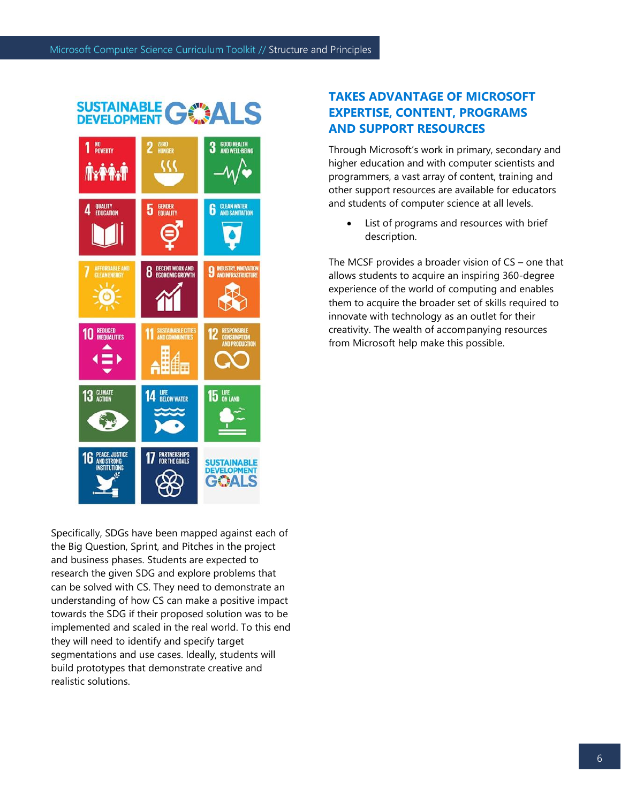

Specifically, SDGs have been mapped against each of the Big Question, Sprint, and Pitches in the project and business phases. Students are expected to research the given SDG and explore problems that can be solved with CS. They need to demonstrate an understanding of how CS can make a positive impact towards the SDG if their proposed solution was to be implemented and scaled in the real world. To this end they will need to identify and specify target segmentations and use cases. Ideally, students will build prototypes that demonstrate creative and realistic solutions.

# **TAKES ADVANTAGE OF MICROSOFT EXPERTISE, CONTENT, PROGRAMS AND SUPPORT RESOURCES**

Through Microsoft's work in primary, secondary and higher education and with computer scientists and programmers, a vast array of content, training and other support resources are available for educators and students of computer science at all levels.

• List of programs and resources with brief description.

The MCSF provides a broader vision of CS – one that allows students to acquire an inspiring 360-degree experience of the world of computing and enables them to acquire the broader set of skills required to innovate with technology as an outlet for their creativity. The wealth of accompanying resources from Microsoft help make this possible.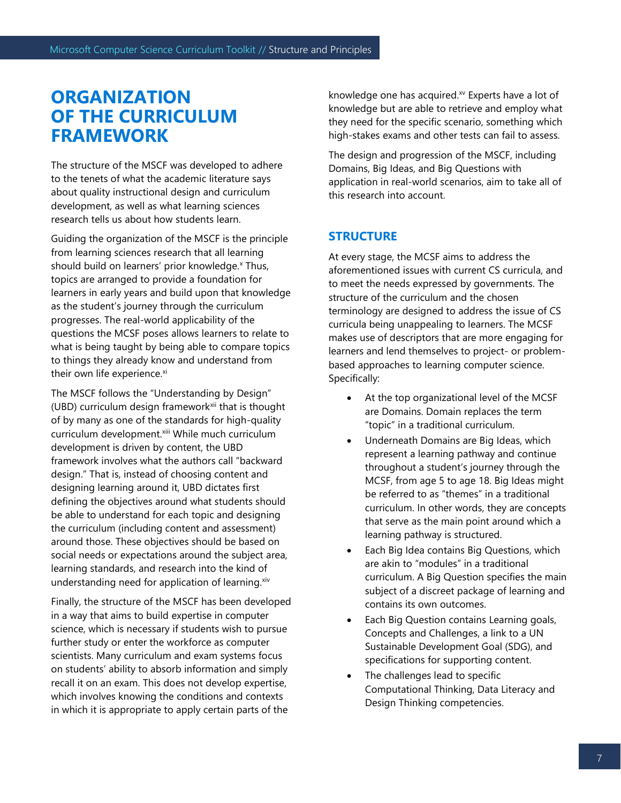# **ORGANIZATION OF THE CURRICULUM FRAMEWORK**

The structure of the MSCF was developed to adhere to the tenets of what the academic literature says about quality instructional design and curriculum development, as well as what learning sciences research tells us about how students learn.

Guiding the organization of the MSCF is the principle from learning sciences research that all learning should build on learners' prior knowledge.<sup>x</sup> Thus, topics are arranged to provide a foundation for learners in early years and build upon that knowledge as the student's journey through the curriculum progresses. The real-world applicability of the questions the MCSF poses allows learners to relate to what is being taught by being able to compare topics to things they already know and understand from their own life experience.xi

The MSCF follows the "Understanding by Design" (UBD) curriculum design framework<sup>xii</sup> that is thought of by many as one of the standards for high-quality curriculum development.<sup>xiii</sup> While much curriculum development is driven by content, the UBD framework involves what the authors call "backward design." That is, instead of choosing content and designing learning around it, UBD dictates first defining the objectives around what students should be able to understand for each topic and designing the curriculum (including content and assessment) around those. These objectives should be based on social needs or expectations around the subject area, learning standards, and research into the kind of understanding need for application of learning. xiv

Finally, the structure of the MSCF has been developed in a way that aims to build expertise in computer science, which is necessary if students wish to pursue further study or enter the workforce as computer scientists. Many curriculum and exam systems focus on students' ability to absorb information and simply recall it on an exam. This does not develop expertise, which involves knowing the conditions and contexts in which it is appropriate to apply certain parts of the

knowledge one has acquired.<sup>xv</sup> Experts have a lot of knowledge but are able to retrieve and employ what they need for the specific scenario, something which high-stakes exams and other tests can fail to assess.

The design and progression of the MSCF, including Domains, Big Ideas, and Big Questions with application in real-world scenarios, aim to take all of this research into account.

# **STRUCTURE**

At every stage, the MCSF aims to address the aforementioned issues with current CS curricula, and to meet the needs expressed by governments. The structure of the curriculum and the chosen terminology are designed to address the issue of CS curricula being unappealing to learners. The MCSF makes use of descriptors that are more engaging for learners and lend themselves to project- or problembased approaches to learning computer science. Specifically:

- At the top organizational level of the MCSF are Domains. Domain replaces the term "topic" in a traditional curriculum.
- Underneath Domains are Big Ideas, which represent a learning pathway and continue throughout a student's journey through the MCSF, from age 5 to age 18. Big Ideas might be referred to as "themes" in a traditional curriculum. In other words, they are concepts that serve as the main point around which a learning pathway is structured.
- Each Big Idea contains Big Questions, which are akin to "modules" in a traditional curriculum. A Big Question specifies the main subject of a discreet package of learning and contains its own outcomes.
- Each Big Question contains Learning goals, Concepts and Challenges, a link to a UN Sustainable Development Goal (SDG), and specifications for supporting content.
- The challenges lead to specific Computational Thinking, Data Literacy and Design Thinking competencies.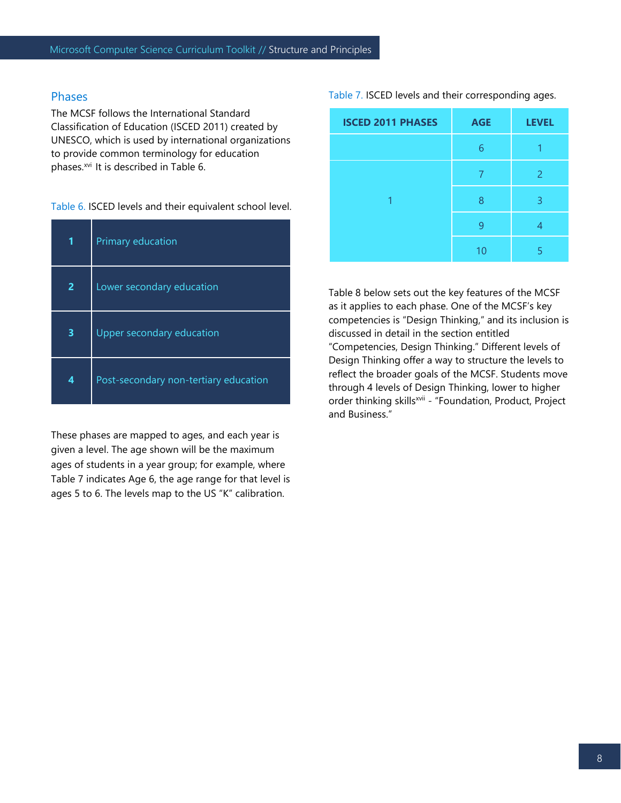#### Phases

The MCSF follows the International Standard Classification of Education (ISCED 2011) created by UNESCO, which is used by international organizations to provide common terminology for education phases.<sup>xvi</sup> It is described in Table 6.

#### Table 6. ISCED levels and their equivalent school level.

|   | Primary education                     |
|---|---------------------------------------|
| 2 | Lower secondary education             |
| 3 | Upper secondary education             |
| 4 | Post-secondary non-tertiary education |

These phases are mapped to ages, and each year is given a level. The age shown will be the maximum ages of students in a year group; for example, where Table 7 indicates Age 6, the age range for that level is ages 5 to 6. The levels map to the US "K" calibration.

Table 7. ISCED levels and their corresponding ages.

| <b>ISCED 2011 PHASES</b> | <b>AGE</b> | <b>LEVEL</b> |
|--------------------------|------------|--------------|
|                          | 6          |              |
|                          |            | 2            |
|                          | 8          | 3            |
|                          | q          |              |
|                          |            | д            |

Table 8 below sets out the key features of the MCSF as it applies to each phase. One of the MCSF's key competencies is "Design Thinking," and its inclusion is discussed in detail in the section entitled "Competencies, Design Thinking." Different levels of Design Thinking offer a way to structure the levels to reflect the broader goals of the MCSF. Students move through 4 levels of Design Thinking, lower to higher order thinking skills<sup>xvii</sup> - "Foundation, Product, Project and Business."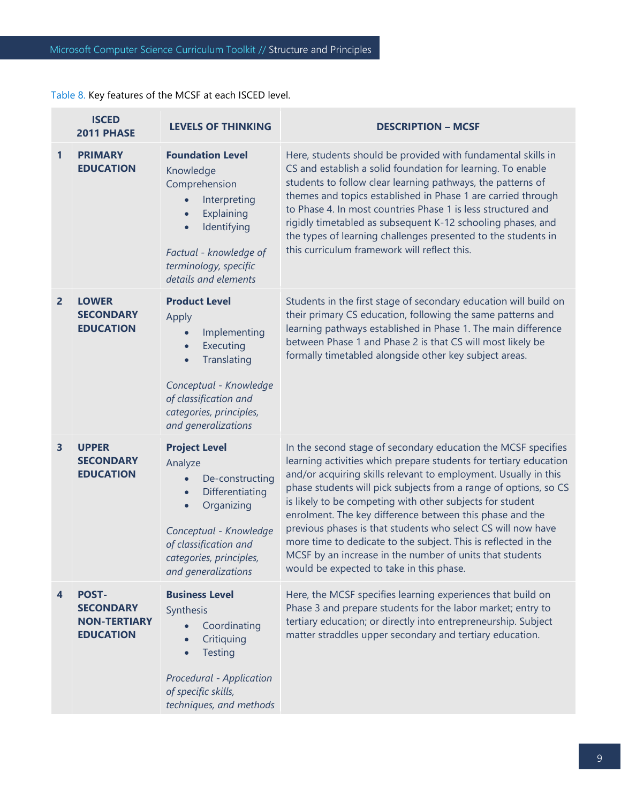Table 8. Key features of the MCSF at each ISCED level.

|                | <b>ISCED</b><br>2011 PHASE                                                  | <b>LEVELS OF THINKING</b>                                                                                                                                                                                                       | <b>DESCRIPTION - MCSF</b>                                                                                                                                                                                                                                                                                                                                                                                                                                                                                                                                                                                                                    |
|----------------|-----------------------------------------------------------------------------|---------------------------------------------------------------------------------------------------------------------------------------------------------------------------------------------------------------------------------|----------------------------------------------------------------------------------------------------------------------------------------------------------------------------------------------------------------------------------------------------------------------------------------------------------------------------------------------------------------------------------------------------------------------------------------------------------------------------------------------------------------------------------------------------------------------------------------------------------------------------------------------|
| $\mathbf{1}$   | <b>PRIMARY</b><br><b>EDUCATION</b>                                          | <b>Foundation Level</b><br>Knowledge<br>Comprehension<br>Interpreting<br>Explaining<br>$\bullet$<br>Identifying<br>$\bullet$<br>Factual - knowledge of<br>terminology, specific<br>details and elements                         | Here, students should be provided with fundamental skills in<br>CS and establish a solid foundation for learning. To enable<br>students to follow clear learning pathways, the patterns of<br>themes and topics established in Phase 1 are carried through<br>to Phase 4. In most countries Phase 1 is less structured and<br>rigidly timetabled as subsequent K-12 schooling phases, and<br>the types of learning challenges presented to the students in<br>this curriculum framework will reflect this.                                                                                                                                   |
| $\overline{2}$ | <b>LOWER</b><br><b>SECONDARY</b><br><b>EDUCATION</b>                        | <b>Product Level</b><br>Apply<br>Implementing<br>$\bullet$<br>Executing<br>$\bullet$<br>Translating<br>$\bullet$<br>Conceptual - Knowledge<br>of classification and<br>categories, principles,<br>and generalizations           | Students in the first stage of secondary education will build on<br>their primary CS education, following the same patterns and<br>learning pathways established in Phase 1. The main difference<br>between Phase 1 and Phase 2 is that CS will most likely be<br>formally timetabled alongside other key subject areas.                                                                                                                                                                                                                                                                                                                     |
| 3              | <b>UPPER</b><br><b>SECONDARY</b><br><b>EDUCATION</b>                        | <b>Project Level</b><br>Analyze<br>De-constructing<br>$\bullet$<br>Differentiating<br>$\bullet$<br>Organizing<br>$\bullet$<br>Conceptual - Knowledge<br>of classification and<br>categories, principles,<br>and generalizations | In the second stage of secondary education the MCSF specifies<br>learning activities which prepare students for tertiary education<br>and/or acquiring skills relevant to employment. Usually in this<br>phase students will pick subjects from a range of options, so CS<br>is likely to be competing with other subjects for student<br>enrolment. The key difference between this phase and the<br>previous phases is that students who select CS will now have<br>more time to dedicate to the subject. This is reflected in the<br>MCSF by an increase in the number of units that students<br>would be expected to take in this phase. |
| 4              | <b>POST-</b><br><b>SECONDARY</b><br><b>NON-TERTIARY</b><br><b>EDUCATION</b> | <b>Business Level</b><br>Synthesis<br>Coordinating<br>Critiquing<br><b>Testing</b><br>Procedural - Application<br>of specific skills,<br>techniques, and methods                                                                | Here, the MCSF specifies learning experiences that build on<br>Phase 3 and prepare students for the labor market; entry to<br>tertiary education; or directly into entrepreneurship. Subject<br>matter straddles upper secondary and tertiary education.                                                                                                                                                                                                                                                                                                                                                                                     |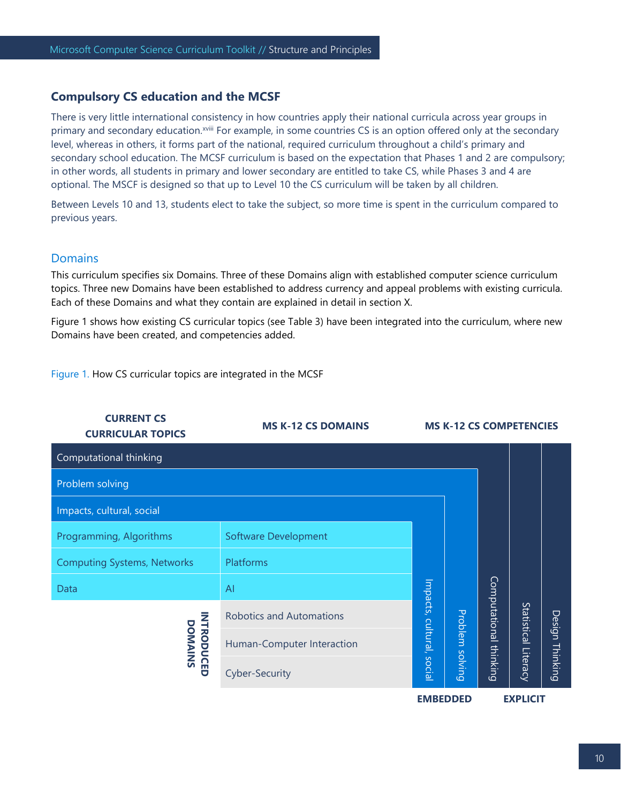#### **Compulsory CS education and the MCSF**

There is very little international consistency in how countries apply their national curricula across year groups in primary and secondary education.<sup>xviii</sup> For example, in some countries CS is an option offered only at the secondary level, whereas in others, it forms part of the national, required curriculum throughout a child's primary and secondary school education. The MCSF curriculum is based on the expectation that Phases 1 and 2 are compulsory; in other words, all students in primary and lower secondary are entitled to take CS, while Phases 3 and 4 are optional. The MSCF is designed so that up to Level 10 the CS curriculum will be taken by all children.

Between Levels 10 and 13, students elect to take the subject, so more time is spent in the curriculum compared to previous years.

#### Domains

This curriculum specifies six Domains. Three of these Domains align with established computer science curriculum topics. Three new Domains have been established to address currency and appeal problems with existing curricula. Each of these Domains and what they contain are explained in detail in section X.

Figure 1 shows how existing CS curricular topics (see Table 3) have been integrated into the curriculum, where new Domains have been created, and competencies added.

Figure 1. How CS curricular topics are integrated in the MCSF

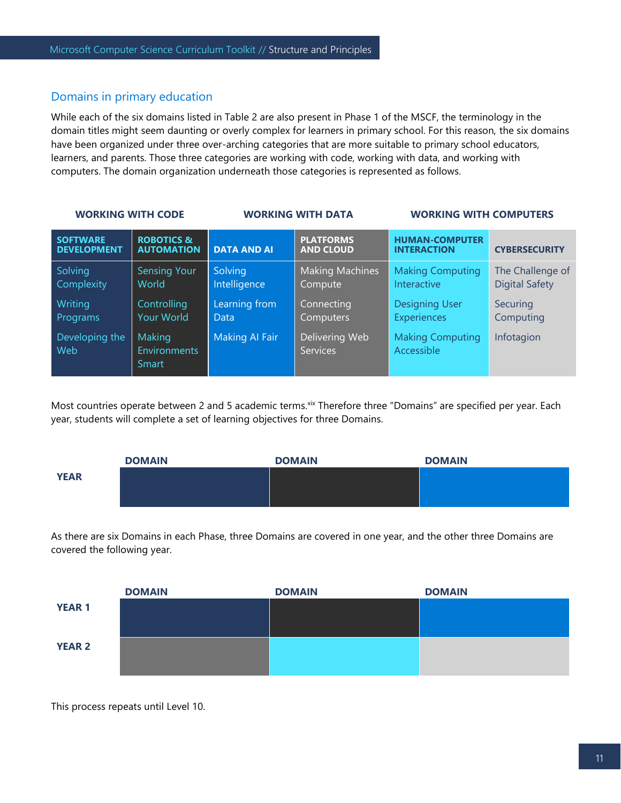#### Domains in primary education

While each of the six domains listed in Table 2 are also present in Phase 1 of the MSCF, the terminology in the domain titles might seem daunting or overly complex for learners in primary school. For this reason, the six domains have been organized under three over-arching categories that are more suitable to primary school educators, learners, and parents. Those three categories are working with code, working with data, and working with computers. The domain organization underneath those categories is represented as follows.

| <b>WORKING WITH CODE</b>              |                                               |                         | <b>WORKING WITH DATA</b>             | <b>WORKING WITH COMPUTERS</b>               |                                           |  |
|---------------------------------------|-----------------------------------------------|-------------------------|--------------------------------------|---------------------------------------------|-------------------------------------------|--|
| <b>SOFTWARE</b><br><b>DEVELOPMENT</b> | <b>ROBOTICS &amp;</b><br><b>AUTOMATION</b>    | <b>DATA AND AI</b>      | <b>PLATFORMS</b><br><b>AND CLOUD</b> | <b>HUMAN-COMPUTER</b><br><b>INTERACTION</b> | <b>CYBERSECURITY</b>                      |  |
| Solving<br>Complexity                 | <b>Sensing Your</b><br>World                  | Solving<br>Intelligence | <b>Making Machines</b><br>Compute    | <b>Making Computing</b><br>Interactive      | The Challenge of<br><b>Digital Safety</b> |  |
| Writing<br>Programs                   | Controlling<br><b>Your World</b>              | Learning from<br>Data   | Connecting<br>Computers              | <b>Designing User</b><br><b>Experiences</b> | Securing<br>Computing                     |  |
| Developing the<br>Web                 | Making<br><b>Environments</b><br><b>Smart</b> | Making Al Fair          | Delivering Web<br><b>Services</b>    | <b>Making Computing</b><br>Accessible       | Infotagion                                |  |

Most countries operate between 2 and 5 academic terms.xix Therefore three "Domains" are specified per year. Each year, students will complete a set of learning objectives for three Domains.



As there are six Domains in each Phase, three Domains are covered in one year, and the other three Domains are covered the following year.



This process repeats until Level 10.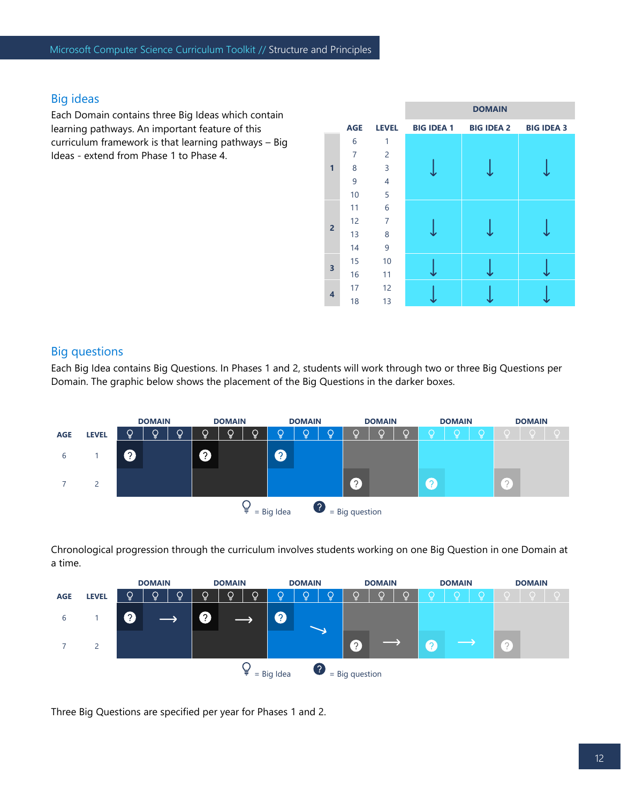# Big ideas

Each Domain contains three Big Ideas which contain learning pathways. An important feature of this curriculum framework is that learning pathways – Big Ideas - extend from Phase 1 to Phase 4.



### Big questions

Each Big Idea contains Big Questions. In Phases 1 and 2, students will work through two or three Big Questions per Domain. The graphic below shows the placement of the Big Questions in the darker boxes.



Chronological progression through the curriculum involves students working on one Big Question in one Domain at a time.

|            |                                                  |               | <b>DOMAIN</b> |               |   | <b>DOMAIN</b> |               |   | <b>DOMAIN</b> |               |   | <b>DOMAIN</b> |   | <b>DOMAIN</b> |   |   | <b>DOMAIN</b> |  |
|------------|--------------------------------------------------|---------------|---------------|---------------|---|---------------|---------------|---|---------------|---------------|---|---------------|---|---------------|---|---|---------------|--|
| <b>AGE</b> | <b>LEVEL</b>                                     | $\mathcal{Q}$ | $\mathcal{Q}$ | $\mathcal{Q}$ | Ô | $\dot{Q}$     | $\mathcal{Q}$ | ò | Ô             | $\mathcal{Q}$ |   | ç             | ç | Ō             | ç |   | $\bigcirc$    |  |
| b          |                                                  | $\Omega$      |               |               | 0 |               |               | Q |               |               |   |               |   |               |   |   |               |  |
|            | 2                                                |               |               |               |   |               |               |   |               |               | 2 |               |   |               |   | 2 |               |  |
|            | $\cdot$<br>¥<br>$=$ Big question<br>$=$ Big Idea |               |               |               |   |               |               |   |               |               |   |               |   |               |   |   |               |  |

Three Big Questions are specified per year for Phases 1 and 2.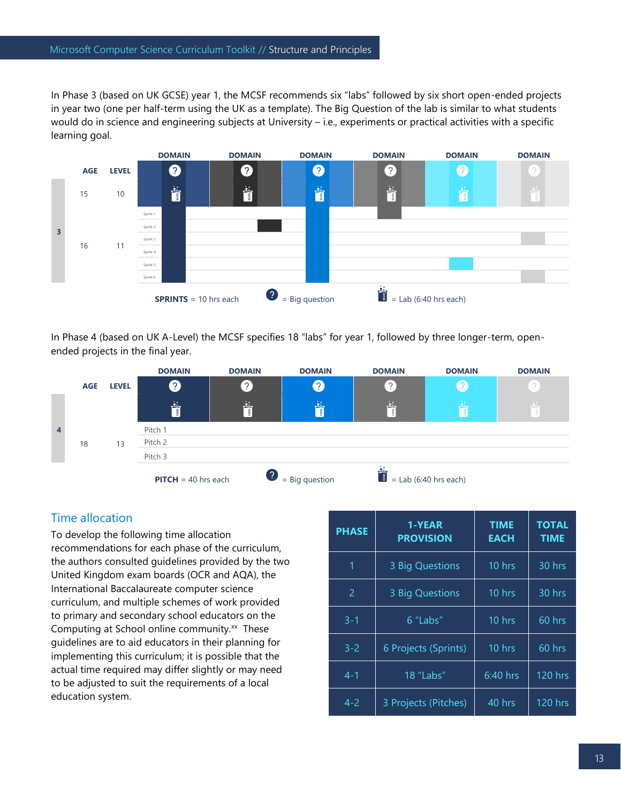In Phase 3 (based on UK GCSE) year 1, the MCSF recommends six "labs" followed by six short open-ended projects in year two (one per half-term using the UK as a template). The Big Question of the lab is similar to what students would do in science and engineering subjects at University – i.e., experiments or practical activities with a specific learning goal.



In Phase 4 (based on UK A-Level) the MCSF specifies 18 "labs" for year 1, followed by three longer-term, openended projects in the final year.



# Time allocation

To develop the following time allocation recommendations for each phase of the curriculum, the authors consulted guidelines provided by the two United Kingdom exam boards (OCR and AQA), the International Baccalaureate computer science curriculum, and multiple schemes of work provided to primary and secondary school educators on the Computing at School online community.<sup>xx</sup> These guidelines are to aid educators in their planning for implementing this curriculum; it is possible that the actual time required may differ slightly or may need to be adjusted to suit the requirements of a local education system.

| <b>PHASE</b>   | 1-YEAR<br><b>PROVISION</b> | <b>TIME</b><br><b>EACH</b> | <b>TOTAL</b><br><b>TIME</b> |
|----------------|----------------------------|----------------------------|-----------------------------|
| 1              | 3 Big Questions            | 10 hrs                     | 30 hrs                      |
| $\overline{2}$ | 3 Big Questions            | 10 hrs                     | 30 hrs                      |
| $3 - 1$        | 6 "Labs"                   | 10 hrs                     | $60$ hrs                    |
| $3 - 2$        | 6 Projects (Sprints)       | 10 hrs                     | 60 hrs                      |
| $4 - 1$        | 18 "Labs"                  | $6:40$ hrs                 | <b>120 hrs</b>              |
| $4 - 2$        | 3 Projects (Pitches)       | 40 hrs                     | <b>120 hrs</b>              |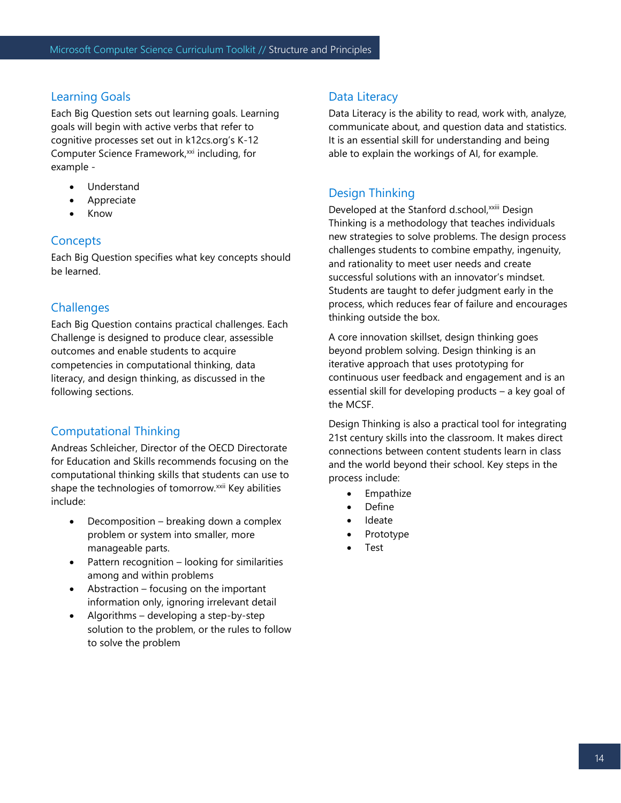#### Learning Goals

Each Big Question sets out learning goals. Learning goals will begin with active verbs that refer to cognitive processes set out in k12cs.org's K-12 Computer Science Framework,<sup>xxi</sup> including, for example -

- Understand
- **Appreciate**
- Know

### **Concepts**

Each Big Question specifies what key concepts should be learned.

### **Challenges**

Each Big Question contains practical challenges. Each Challenge is designed to produce clear, assessible outcomes and enable students to acquire competencies in computational thinking, data literacy, and design thinking, as discussed in the following sections.

# Computational Thinking

Andreas Schleicher, Director of the OECD Directorate for Education and Skills recommends focusing on the computational thinking skills that students can use to shape the technologies of tomorrow.<sup>xxii</sup> Key abilities include:

- Decomposition breaking down a complex problem or system into smaller, more manageable parts.
- Pattern recognition looking for similarities among and within problems
- Abstraction  $-$  focusing on the important information only, ignoring irrelevant detail
- Algorithms developing a step-by-step solution to the problem, or the rules to follow to solve the problem

#### Data Literacy

Data Literacy is the ability to read, work with, analyze, communicate about, and question data and statistics. It is an essential skill for understanding and being able to explain the workings of AI, for example.

# Design Thinking

Developed at the Stanford d.school, xxiii Design Thinking is a methodology that teaches individuals new strategies to solve problems. The design process challenges students to combine empathy, ingenuity, and rationality to meet user needs and create successful solutions with an innovator's mindset. Students are taught to defer judgment early in the process, which reduces fear of failure and encourages thinking outside the box.

A core innovation skillset, design thinking goes beyond problem solving. Design thinking is an iterative approach that uses prototyping for continuous user feedback and engagement and is an essential skill for developing products – a key goal of the MCSF.

Design Thinking is also a practical tool for integrating 21st century skills into the classroom. It makes direct connections between content students learn in class and the world beyond their school. Key steps in the process include:

- Empathize
- Define
- Ideate
- Prototype
- Test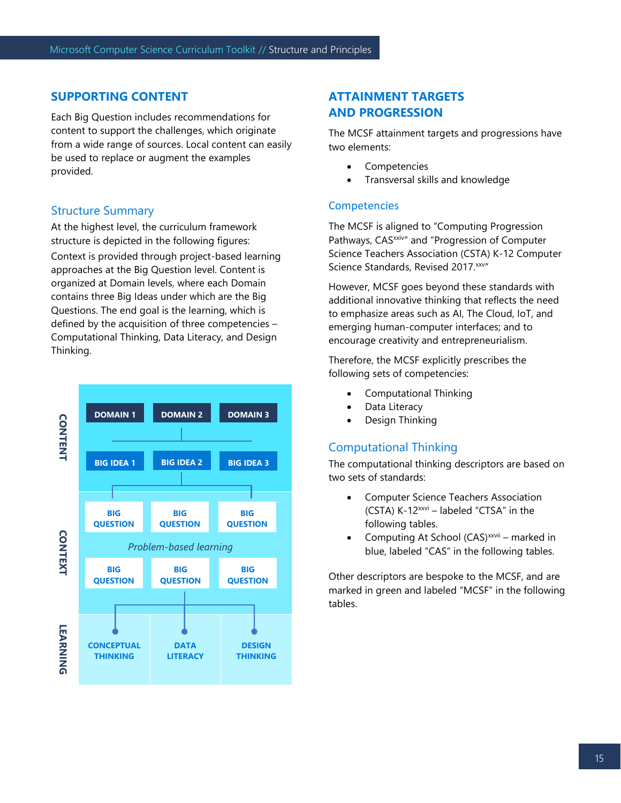#### **SUPPORTING CONTENT**

Each Big Question includes recommendations for content to support the challenges, which originate from a wide range of sources. Local content can easily be used to replace or augment the examples provided.

#### Structure Summary

At the highest level, the curriculum framework structure is depicted in the following figures:

Context is provided through project-based learning approaches at the Big Question level. Content is organized at Domain levels, where each Domain contains three Big Ideas under which are the Big Questions. The end goal is the learning, which is defined by the acquisition of three competencies – Computational Thinking, Data Literacy, and Design Thinking.



# **ATTAINMENT TARGETS AND PROGRESSION**

The MCSF attainment targets and progressions have two elements:

- **Competencies**
- Transversal skills and knowledge

### **Competencies**

The MCSF is aligned to "Computing Progression Pathways, CAS<sup>xxiv</sup>" and "Progression of Computer Science Teachers Association (CSTA) K-12 Computer Science Standards, Revised 2017. xxv"

However, MCSF goes beyond these standards with additional innovative thinking that reflects the need to emphasize areas such as AI, The Cloud, IoT, and emerging human-computer interfaces; and to encourage creativity and entrepreneurialism.

Therefore, the MCSF explicitly prescribes the following sets of competencies:

- Computational Thinking
- Data Literacy
- Design Thinking

# Computational Thinking

The computational thinking descriptors are based on two sets of standards:

- Computer Science Teachers Association (CSTA) K-12xxvi – labeled "CTSA" in the following tables.
- Computing At School (CAS)<sup>xxvii</sup> marked in blue, labeled "CAS" in the following tables.

Other descriptors are bespoke to the MCSF, and are marked in green and labeled "MCSF" in the following tables.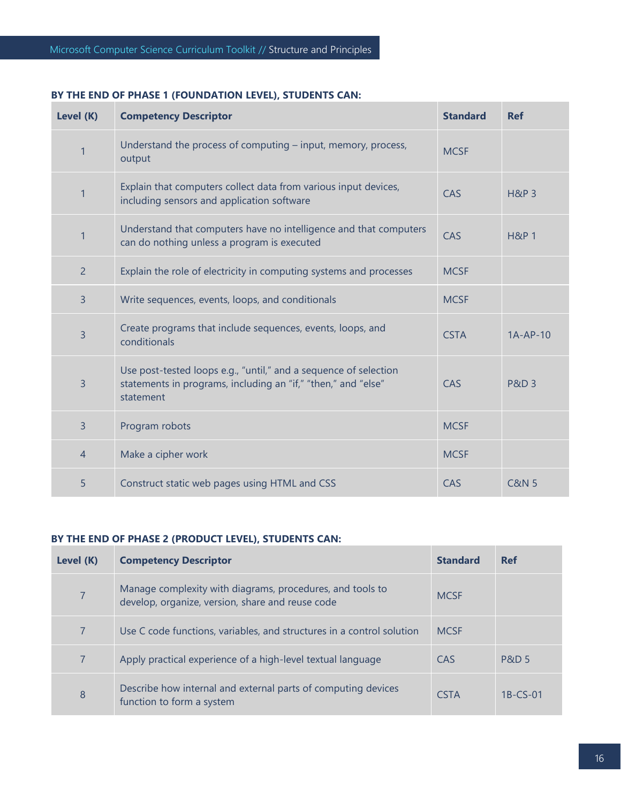#### **BY THE END OF PHASE 1 (FOUNDATION LEVEL), STUDENTS CAN:**

| Level (K)      | <b>Competency Descriptor</b>                                                                                                                   | <b>Standard</b> | <b>Ref</b>       |
|----------------|------------------------------------------------------------------------------------------------------------------------------------------------|-----------------|------------------|
| 1              | Understand the process of computing – input, memory, process,<br>output                                                                        | <b>MCSF</b>     |                  |
| 1              | Explain that computers collect data from various input devices,<br>including sensors and application software                                  | CAS             | <b>H&amp;P 3</b> |
| 1              | Understand that computers have no intelligence and that computers<br>can do nothing unless a program is executed                               | CAS             | <b>H&amp;P 1</b> |
| $\overline{2}$ | Explain the role of electricity in computing systems and processes                                                                             | <b>MCSF</b>     |                  |
| 3              | Write sequences, events, loops, and conditionals                                                                                               | <b>MCSF</b>     |                  |
| 3              | Create programs that include sequences, events, loops, and<br>conditionals                                                                     | <b>CSTA</b>     | $1A-AP-10$       |
| 3              | Use post-tested loops e.g., "until," and a sequence of selection<br>statements in programs, including an "if," "then," and "else"<br>statement | CAS             | <b>P&amp;D 3</b> |
| 3              | Program robots                                                                                                                                 | <b>MCSF</b>     |                  |
| 4              | Make a cipher work                                                                                                                             | <b>MCSF</b>     |                  |
| 5              | Construct static web pages using HTML and CSS                                                                                                  | CAS             | <b>C&amp;N 5</b> |

### **BY THE END OF PHASE 2 (PRODUCT LEVEL), STUDENTS CAN:**

| Level (K)      | <b>Competency Descriptor</b>                                                                                  | <b>Standard</b> | Ref              |
|----------------|---------------------------------------------------------------------------------------------------------------|-----------------|------------------|
| 7              | Manage complexity with diagrams, procedures, and tools to<br>develop, organize, version, share and reuse code | <b>MCSF</b>     |                  |
| $\overline{7}$ | Use C code functions, variables, and structures in a control solution                                         | <b>MCSF</b>     |                  |
| $\overline{7}$ | Apply practical experience of a high-level textual language                                                   | CAS             | <b>P&amp;D 5</b> |
| 8              | Describe how internal and external parts of computing devices<br>function to form a system                    | <b>CSTA</b>     | $1B-CS-01$       |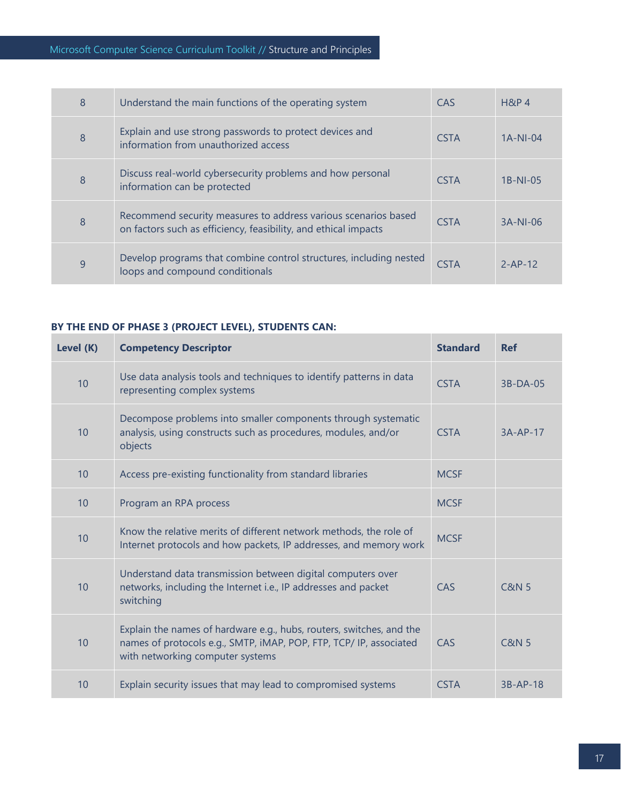| 8 | Understand the main functions of the operating system                                                                             | CAS         | $H\&P$ 4      |
|---|-----------------------------------------------------------------------------------------------------------------------------------|-------------|---------------|
| 8 | Explain and use strong passwords to protect devices and<br>information from unauthorized access                                   | <b>CSTA</b> | $1A-NI-04$    |
| 8 | Discuss real-world cybersecurity problems and how personal<br>information can be protected                                        | <b>CSTA</b> | $1B-NI-05$    |
| 8 | Recommend security measures to address various scenarios based<br>on factors such as efficiency, feasibility, and ethical impacts | <b>CSTA</b> | $3A-NI-06$    |
| 9 | Develop programs that combine control structures, including nested<br>loops and compound conditionals                             | <b>CSTA</b> | $2 - AP - 12$ |

# **BY THE END OF PHASE 3 (PROJECT LEVEL), STUDENTS CAN:**

| Level (K) | <b>Competency Descriptor</b>                                                                                                                                                   | <b>Standard</b> | <b>Ref</b>       |
|-----------|--------------------------------------------------------------------------------------------------------------------------------------------------------------------------------|-----------------|------------------|
| 10        | Use data analysis tools and techniques to identify patterns in data<br>representing complex systems                                                                            | <b>CSTA</b>     | $3B-DA-05$       |
| 10        | Decompose problems into smaller components through systematic<br>analysis, using constructs such as procedures, modules, and/or<br>objects                                     | <b>CSTA</b>     | $3A-AP-17$       |
| 10        | Access pre-existing functionality from standard libraries                                                                                                                      | <b>MCSF</b>     |                  |
| 10        | Program an RPA process                                                                                                                                                         | <b>MCSF</b>     |                  |
| 10        | Know the relative merits of different network methods, the role of<br>Internet protocols and how packets, IP addresses, and memory work                                        | <b>MCSF</b>     |                  |
| 10        | Understand data transmission between digital computers over<br>networks, including the Internet i.e., IP addresses and packet<br>switching                                     | CAS             | <b>C&amp;N 5</b> |
| 10        | Explain the names of hardware e.g., hubs, routers, switches, and the<br>names of protocols e.g., SMTP, iMAP, POP, FTP, TCP/ IP, associated<br>with networking computer systems | CAS             | <b>C&amp;N 5</b> |
| 10        | Explain security issues that may lead to compromised systems                                                                                                                   | <b>CSTA</b>     | $3B-AP-18$       |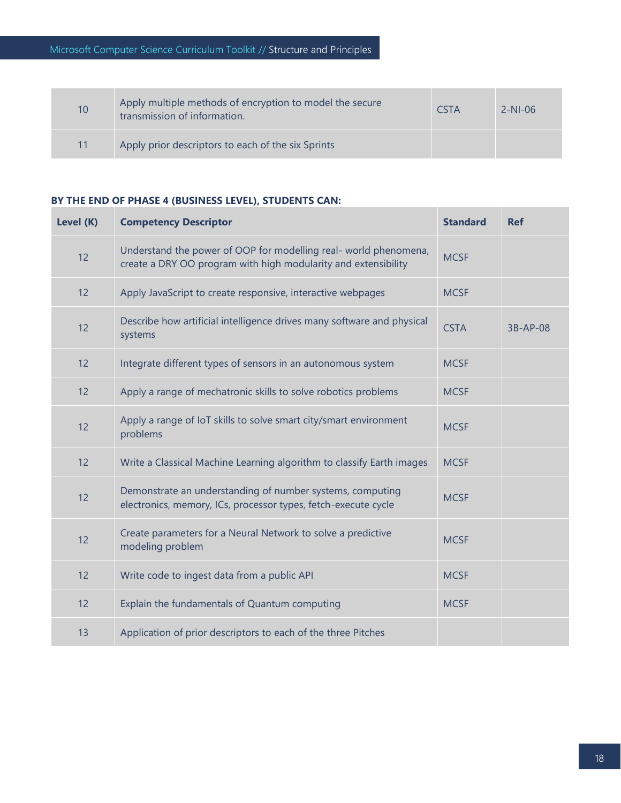| 10 | Apply multiple methods of encryption to model the secure<br>transmission of information. | <b>CSTA</b> | $2-NI-06$ |
|----|------------------------------------------------------------------------------------------|-------------|-----------|
| 11 | Apply prior descriptors to each of the six Sprints                                       |             |           |

#### **BY THE END OF PHASE 4 (BUSINESS LEVEL), STUDENTS CAN:**

| Level (K) | <b>Competency Descriptor</b>                                                                                                       | <b>Standard</b> | <b>Ref</b> |
|-----------|------------------------------------------------------------------------------------------------------------------------------------|-----------------|------------|
| 12        | Understand the power of OOP for modelling real- world phenomena,<br>create a DRY OO program with high modularity and extensibility | <b>MCSF</b>     |            |
| 12        | Apply JavaScript to create responsive, interactive webpages                                                                        | <b>MCSF</b>     |            |
| 12        | Describe how artificial intelligence drives many software and physical<br>systems                                                  | <b>CSTA</b>     | 3B-AP-08   |
| 12        | Integrate different types of sensors in an autonomous system                                                                       | <b>MCSF</b>     |            |
| 12        | Apply a range of mechatronic skills to solve robotics problems                                                                     | <b>MCSF</b>     |            |
| 12        | Apply a range of IoT skills to solve smart city/smart environment<br>problems                                                      | <b>MCSF</b>     |            |
| 12        | Write a Classical Machine Learning algorithm to classify Earth images                                                              | <b>MCSF</b>     |            |
| 12        | Demonstrate an understanding of number systems, computing<br>electronics, memory, ICs, processor types, fetch-execute cycle        | <b>MCSF</b>     |            |
| 12        | Create parameters for a Neural Network to solve a predictive<br>modeling problem                                                   | <b>MCSF</b>     |            |
| 12        | Write code to ingest data from a public API                                                                                        | <b>MCSF</b>     |            |
| 12        | Explain the fundamentals of Quantum computing                                                                                      | <b>MCSF</b>     |            |
| 13        | Application of prior descriptors to each of the three Pitches                                                                      |                 |            |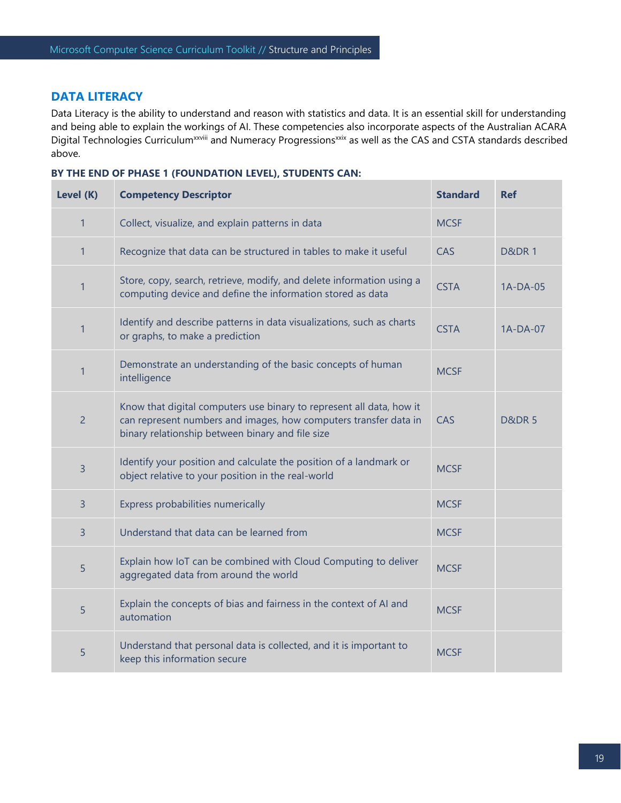#### **DATA LITERACY**

Data Literacy is the ability to understand and reason with statistics and data. It is an essential skill for understanding and being able to explain the workings of AI. These competencies also incorporate aspects of the Australian ACARA Digital Technologies Curriculum<sup>xxviii</sup> and Numeracy Progressions<sup>xxix</sup> as well as the CAS and CSTA standards described above.

|  | BY THE END OF PHASE 1 (FOUNDATION LEVEL), STUDENTS CAN: |  |
|--|---------------------------------------------------------|--|
|--|---------------------------------------------------------|--|

| Level (K)      | <b>Competency Descriptor</b>                                                                                                                                                                 | <b>Standard</b> | <b>Ref</b>       |
|----------------|----------------------------------------------------------------------------------------------------------------------------------------------------------------------------------------------|-----------------|------------------|
| $\mathbf{1}$   | Collect, visualize, and explain patterns in data                                                                                                                                             | <b>MCSF</b>     |                  |
| $\mathbf{1}$   | Recognize that data can be structured in tables to make it useful                                                                                                                            | CAS             | <b>D&amp;DR1</b> |
| $\mathbf{1}$   | Store, copy, search, retrieve, modify, and delete information using a<br>computing device and define the information stored as data                                                          | <b>CSTA</b>     | 1A-DA-05         |
| $\mathbf{1}$   | Identify and describe patterns in data visualizations, such as charts<br>or graphs, to make a prediction                                                                                     | <b>CSTA</b>     | $1A-DA-07$       |
| $\mathbf{1}$   | Demonstrate an understanding of the basic concepts of human<br>intelligence                                                                                                                  | <b>MCSF</b>     |                  |
| $\overline{2}$ | Know that digital computers use binary to represent all data, how it<br>can represent numbers and images, how computers transfer data in<br>binary relationship between binary and file size | CAS             | <b>D&amp;DR5</b> |
| 3              | Identify your position and calculate the position of a landmark or<br>object relative to your position in the real-world                                                                     | <b>MCSF</b>     |                  |
| 3              | Express probabilities numerically                                                                                                                                                            | <b>MCSF</b>     |                  |
| 3              | Understand that data can be learned from                                                                                                                                                     | <b>MCSF</b>     |                  |
| 5              | Explain how IoT can be combined with Cloud Computing to deliver<br>aggregated data from around the world                                                                                     | <b>MCSF</b>     |                  |
| 5              | Explain the concepts of bias and fairness in the context of AI and<br>automation                                                                                                             | <b>MCSF</b>     |                  |
| 5              | Understand that personal data is collected, and it is important to<br>keep this information secure                                                                                           | <b>MCSF</b>     |                  |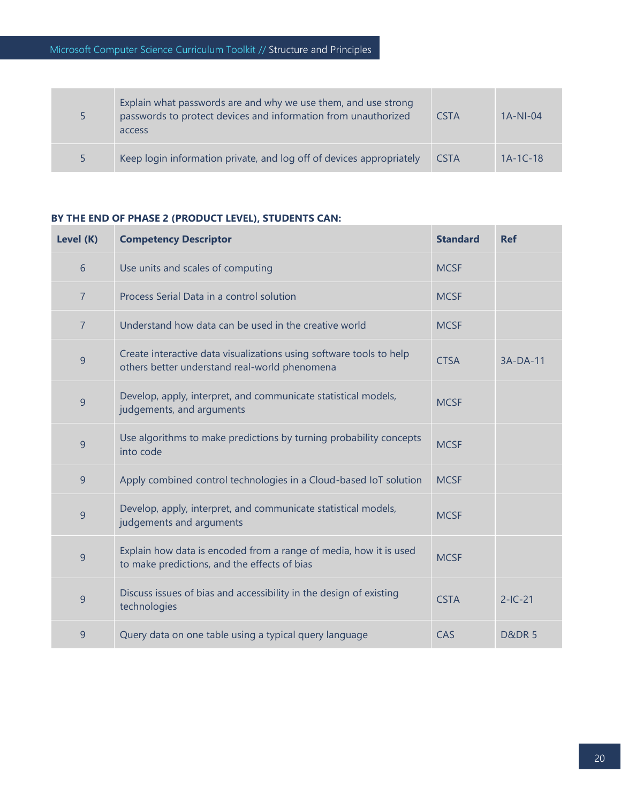| 5. | Explain what passwords are and why we use them, and use strong<br>passwords to protect devices and information from unauthorized<br>access | <b>CSTA</b> | $1A-NI-04$ |
|----|--------------------------------------------------------------------------------------------------------------------------------------------|-------------|------------|
| 5. | Keep login information private, and log off of devices appropriately                                                                       | <b>CSTA</b> | $1A-1C-18$ |

#### **BY THE END OF PHASE 2 (PRODUCT LEVEL), STUDENTS CAN:**

| Level (K)       | <b>Competency Descriptor</b>                                                                                         | <b>Standard</b> | <b>Ref</b>       |
|-----------------|----------------------------------------------------------------------------------------------------------------------|-----------------|------------------|
| $6\phantom{1}6$ | Use units and scales of computing                                                                                    | <b>MCSF</b>     |                  |
| $\overline{7}$  | Process Serial Data in a control solution                                                                            | <b>MCSF</b>     |                  |
| $\overline{7}$  | Understand how data can be used in the creative world                                                                | <b>MCSF</b>     |                  |
| 9               | Create interactive data visualizations using software tools to help<br>others better understand real-world phenomena | <b>CTSA</b>     | $3A-DA-11$       |
| 9               | Develop, apply, interpret, and communicate statistical models,<br>judgements, and arguments                          | <b>MCSF</b>     |                  |
| 9               | Use algorithms to make predictions by turning probability concepts<br>into code                                      | <b>MCSF</b>     |                  |
| $\overline{9}$  | Apply combined control technologies in a Cloud-based IoT solution                                                    | <b>MCSF</b>     |                  |
| 9               | Develop, apply, interpret, and communicate statistical models,<br>judgements and arguments                           | <b>MCSF</b>     |                  |
| 9               | Explain how data is encoded from a range of media, how it is used<br>to make predictions, and the effects of bias    | <b>MCSF</b>     |                  |
| 9               | Discuss issues of bias and accessibility in the design of existing<br>technologies                                   | <b>CSTA</b>     | $2-IC-21$        |
| 9               | Query data on one table using a typical query language                                                               | CAS             | <b>D&amp;DR5</b> |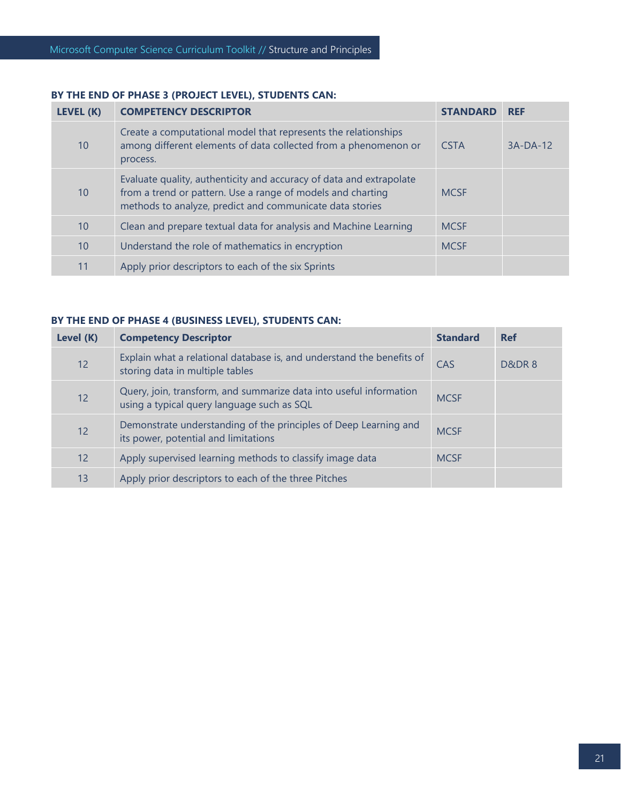# **BY THE END OF PHASE 3 (PROJECT LEVEL), STUDENTS CAN:**

| LEVEL (K) | <b>COMPETENCY DESCRIPTOR</b>                                                                                                                                                                   | <b>STANDARD</b> | <b>REF</b> |
|-----------|------------------------------------------------------------------------------------------------------------------------------------------------------------------------------------------------|-----------------|------------|
| 10        | Create a computational model that represents the relationships<br>among different elements of data collected from a phenomenon or<br>process.                                                  | <b>CSTA</b>     | $3A-DA-12$ |
| 10        | Evaluate quality, authenticity and accuracy of data and extrapolate<br>from a trend or pattern. Use a range of models and charting<br>methods to analyze, predict and communicate data stories | <b>MCSF</b>     |            |
| 10        | Clean and prepare textual data for analysis and Machine Learning                                                                                                                               | <b>MCSF</b>     |            |
| 10        | Understand the role of mathematics in encryption                                                                                                                                               | <b>MCSF</b>     |            |
| 11        | Apply prior descriptors to each of the six Sprints                                                                                                                                             |                 |            |

## **BY THE END OF PHASE 4 (BUSINESS LEVEL), STUDENTS CAN:**

| Level (K) | <b>Competency Descriptor</b>                                                                                     | <b>Standard</b> | <b>Ref</b> |
|-----------|------------------------------------------------------------------------------------------------------------------|-----------------|------------|
| 12        | Explain what a relational database is, and understand the benefits of<br>storing data in multiple tables         | CAS             | D&DR8      |
| 12        | Query, join, transform, and summarize data into useful information<br>using a typical query language such as SQL | <b>MCSF</b>     |            |
| 12        | Demonstrate understanding of the principles of Deep Learning and<br>its power, potential and limitations         | <b>MCSF</b>     |            |
| 12        | Apply supervised learning methods to classify image data                                                         | <b>MCSF</b>     |            |
| 13        | Apply prior descriptors to each of the three Pitches                                                             |                 |            |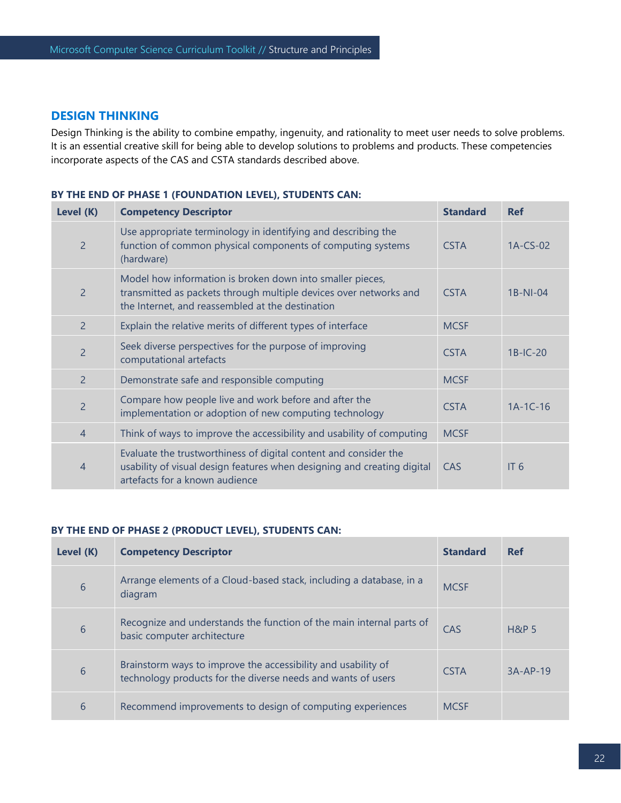#### **DESIGN THINKING**

Design Thinking is the ability to combine empathy, ingenuity, and rationality to meet user needs to solve problems. It is an essential creative skill for being able to develop solutions to problems and products. These competencies incorporate aspects of the CAS and CSTA standards described above.

#### **BY THE END OF PHASE 1 (FOUNDATION LEVEL), STUDENTS CAN:**

| Level (K)      | <b>Competency Descriptor</b>                                                                                                                                                       | <b>Standard</b> | <b>Ref</b>      |
|----------------|------------------------------------------------------------------------------------------------------------------------------------------------------------------------------------|-----------------|-----------------|
| $\overline{2}$ | Use appropriate terminology in identifying and describing the<br>function of common physical components of computing systems<br>(hardware)                                         | <b>CSTA</b>     | 1A-CS-02        |
| $\overline{2}$ | Model how information is broken down into smaller pieces,<br>transmitted as packets through multiple devices over networks and<br>the Internet, and reassembled at the destination | <b>CSTA</b>     | $1B-NI-04$      |
| $\overline{2}$ | Explain the relative merits of different types of interface                                                                                                                        | <b>MCSF</b>     |                 |
| $\overline{2}$ | Seek diverse perspectives for the purpose of improving<br>computational artefacts                                                                                                  | <b>CSTA</b>     | $1B-IC-20$      |
| $\overline{2}$ | Demonstrate safe and responsible computing                                                                                                                                         | <b>MCSF</b>     |                 |
| $\overline{2}$ | Compare how people live and work before and after the<br>implementation or adoption of new computing technology                                                                    | <b>CSTA</b>     | $1A-1C-16$      |
| 4              | Think of ways to improve the accessibility and usability of computing                                                                                                              | <b>MCSF</b>     |                 |
| 4              | Evaluate the trustworthiness of digital content and consider the<br>usability of visual design features when designing and creating digital<br>artefacts for a known audience      | CAS             | IT <sub>6</sub> |

#### **BY THE END OF PHASE 2 (PRODUCT LEVEL), STUDENTS CAN:**

| Level (K) | <b>Competency Descriptor</b>                                                                                                  | <b>Standard</b> | <b>Ref</b>       |
|-----------|-------------------------------------------------------------------------------------------------------------------------------|-----------------|------------------|
| 6         | Arrange elements of a Cloud-based stack, including a database, in a<br>diagram                                                | <b>MCSF</b>     |                  |
| 6         | Recognize and understands the function of the main internal parts of<br>basic computer architecture                           | CAS             | <b>H&amp;P 5</b> |
| 6         | Brainstorm ways to improve the accessibility and usability of<br>technology products for the diverse needs and wants of users | <b>CSTA</b>     | $3A-AP-19$       |
| 6         | Recommend improvements to design of computing experiences                                                                     | <b>MCSE</b>     |                  |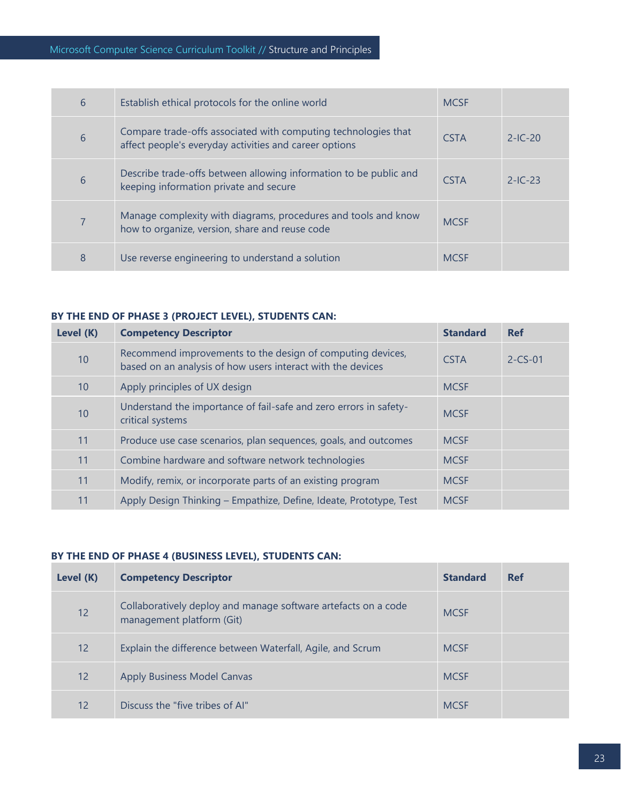| 6 | Establish ethical protocols for the online world                                                                         | <b>MCSF</b> |           |
|---|--------------------------------------------------------------------------------------------------------------------------|-------------|-----------|
| 6 | Compare trade-offs associated with computing technologies that<br>affect people's everyday activities and career options | <b>CSTA</b> | $2-IC-20$ |
| 6 | Describe trade-offs between allowing information to be public and<br>keeping information private and secure              | <b>CSTA</b> | $2-IC-23$ |
| 7 | Manage complexity with diagrams, procedures and tools and know<br>how to organize, version, share and reuse code         | <b>MCSF</b> |           |
| 8 | Use reverse engineering to understand a solution                                                                         | <b>MCSF</b> |           |

#### **BY THE END OF PHASE 3 (PROJECT LEVEL), STUDENTS CAN:**

| Level (K) | <b>Competency Descriptor</b>                                                                                              | <b>Standard</b> | <b>Ref</b>    |
|-----------|---------------------------------------------------------------------------------------------------------------------------|-----------------|---------------|
| 10        | Recommend improvements to the design of computing devices,<br>based on an analysis of how users interact with the devices | <b>CSTA</b>     | $2 - CS - 01$ |
| 10        | Apply principles of UX design                                                                                             | <b>MCSF</b>     |               |
| 10        | Understand the importance of fail-safe and zero errors in safety-<br>critical systems                                     | <b>MCSF</b>     |               |
| 11        | Produce use case scenarios, plan sequences, goals, and outcomes                                                           | <b>MCSF</b>     |               |
| 11        | Combine hardware and software network technologies                                                                        | <b>MCSF</b>     |               |
| 11        | Modify, remix, or incorporate parts of an existing program                                                                | <b>MCSF</b>     |               |
| 11        | Apply Design Thinking - Empathize, Define, Ideate, Prototype, Test                                                        | <b>MCSF</b>     |               |

# **BY THE END OF PHASE 4 (BUSINESS LEVEL), STUDENTS CAN:**

| Level (K)         | <b>Competency Descriptor</b>                                                                | <b>Standard</b> | <b>Ref</b> |
|-------------------|---------------------------------------------------------------------------------------------|-----------------|------------|
| 12                | Collaboratively deploy and manage software artefacts on a code<br>management platform (Git) | <b>MCSE</b>     |            |
| $12 \overline{ }$ | Explain the difference between Waterfall, Agile, and Scrum                                  | <b>MCSF</b>     |            |
| 12                | <b>Apply Business Model Canvas</b>                                                          | <b>MCSF</b>     |            |
| 12                | Discuss the "five tribes of AI"                                                             | <b>MCSF</b>     |            |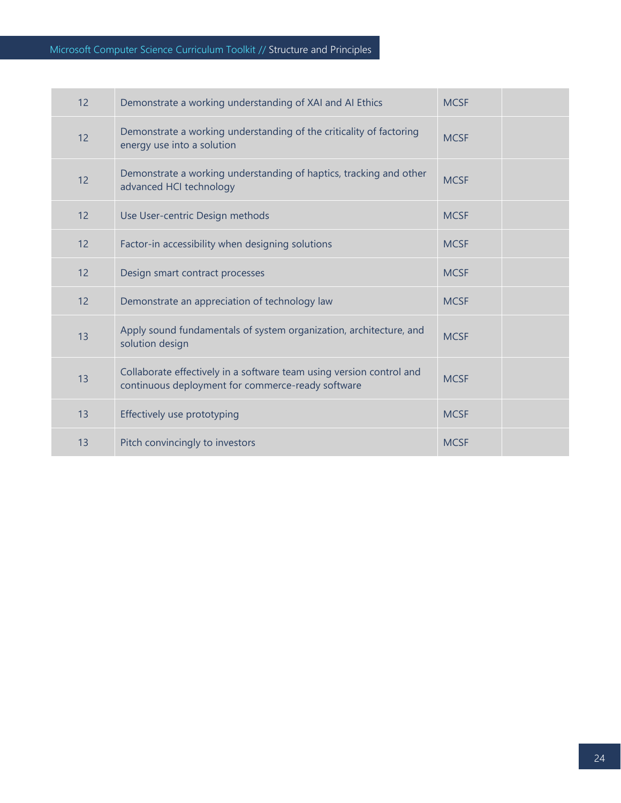| 12 | Demonstrate a working understanding of XAI and AI Ethics                                                                  | <b>MCSF</b> |  |
|----|---------------------------------------------------------------------------------------------------------------------------|-------------|--|
| 12 | Demonstrate a working understanding of the criticality of factoring<br>energy use into a solution                         | <b>MCSF</b> |  |
| 12 | Demonstrate a working understanding of haptics, tracking and other<br>advanced HCI technology                             | <b>MCSF</b> |  |
| 12 | Use User-centric Design methods                                                                                           | <b>MCSF</b> |  |
| 12 | Factor-in accessibility when designing solutions                                                                          | <b>MCSF</b> |  |
| 12 | Design smart contract processes                                                                                           | <b>MCSF</b> |  |
| 12 | Demonstrate an appreciation of technology law                                                                             | <b>MCSF</b> |  |
| 13 | Apply sound fundamentals of system organization, architecture, and<br>solution design                                     | <b>MCSF</b> |  |
| 13 | Collaborate effectively in a software team using version control and<br>continuous deployment for commerce-ready software | <b>MCSF</b> |  |
| 13 | Effectively use prototyping                                                                                               | <b>MCSF</b> |  |
| 13 | Pitch convincingly to investors                                                                                           | <b>MCSF</b> |  |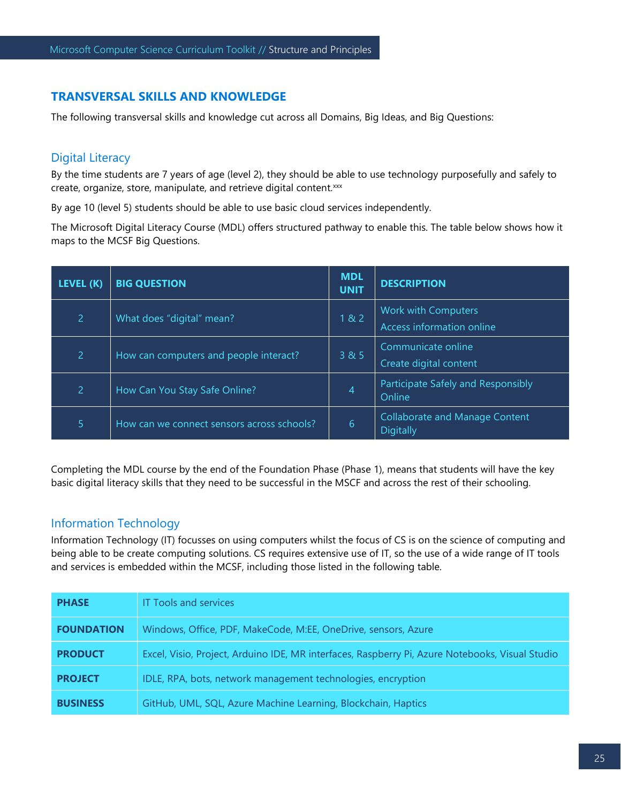# **TRANSVERSAL SKILLS AND KNOWLEDGE**

The following transversal skills and knowledge cut across all Domains, Big Ideas, and Big Questions:

# Digital Literacy

By the time students are 7 years of age (level 2), they should be able to use technology purposefully and safely to create, organize, store, manipulate, and retrieve digital content.xxx

By age 10 (level 5) students should be able to use basic cloud services independently.

The Microsoft Digital Literacy Course (MDL) offers structured pathway to enable this. The table below shows how it maps to the MCSF Big Questions.

| LEVEL (K)      | <b>BIG QUESTION</b>                        | <b>MDL</b><br><b>UNIT</b> | <b>DESCRIPTION</b>                                 |
|----------------|--------------------------------------------|---------------------------|----------------------------------------------------|
| $\overline{2}$ | What does "digital" mean?                  | 182                       | Work with Computers<br>Access information online   |
| $\overline{2}$ | How can computers and people interact?     | 3 & 5                     | Communicate online<br>Create digital content       |
| 2              | How Can You Stay Safe Online?              | 4                         | Participate Safely and Responsibly<br>Online       |
| 5              | How can we connect sensors across schools? | 6                         | <b>Collaborate and Manage Content</b><br>Digitally |

Completing the MDL course by the end of the Foundation Phase (Phase 1), means that students will have the key basic digital literacy skills that they need to be successful in the MSCF and across the rest of their schooling.

# Information Technology

Information Technology (IT) focusses on using computers whilst the focus of CS is on the science of computing and being able to be create computing solutions. CS requires extensive use of IT, so the use of a wide range of IT tools and services is embedded within the MCSF, including those listed in the following table.

| <b>PHASE</b>      | <b>IT Tools and services</b>                                                                    |
|-------------------|-------------------------------------------------------------------------------------------------|
| <b>FOUNDATION</b> | Windows, Office, PDF, MakeCode, M:EE, OneDrive, sensors, Azure                                  |
| <b>PRODUCT</b>    | Excel, Visio, Project, Arduino IDE, MR interfaces, Raspberry Pi, Azure Notebooks, Visual Studio |
| <b>PROJECT</b>    | IDLE, RPA, bots, network management technologies, encryption                                    |
| <b>BUSINESS</b>   | GitHub, UML, SQL, Azure Machine Learning, Blockchain, Haptics                                   |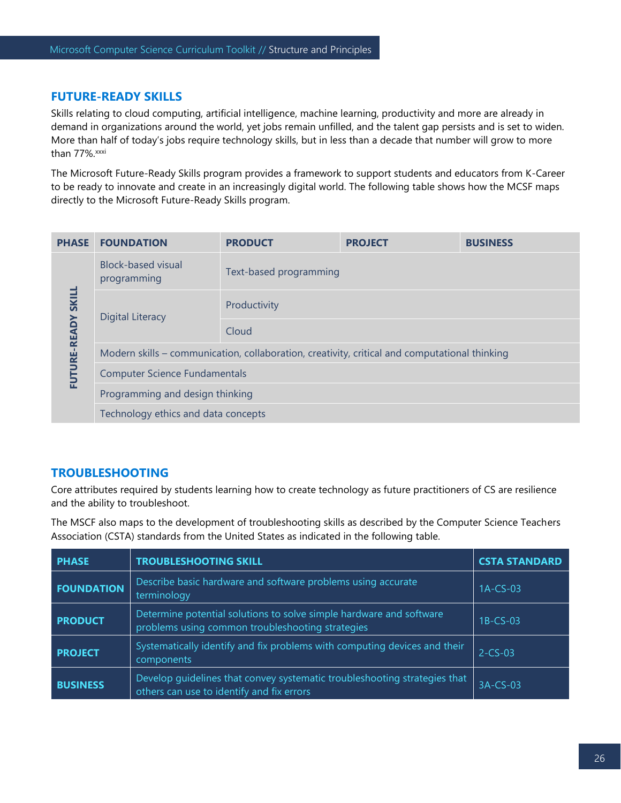#### **FUTURE-READY SKILLS**

Skills relating to cloud computing, artificial intelligence, machine learning, productivity and more are already in demand in organizations around the world, yet jobs remain unfilled, and the talent gap persists and is set to widen. More than half of today's jobs require technology skills, but in less than a decade that number will grow to more than 77%.xxxi

The Microsoft Future-Ready Skills program provides a framework to support students and educators from K-Career to be ready to innovate and create in an increasingly digital world. The following table shows how the MCSF maps directly to the Microsoft Future-Ready Skills program.

| <b>PHASE</b>       | <b>FOUNDATION</b>                                                                             | <b>PRODUCT</b>         | <b>PROJECT</b> | <b>BUSINESS</b> |  |
|--------------------|-----------------------------------------------------------------------------------------------|------------------------|----------------|-----------------|--|
| FUTURE-READY SKILL | Block-based visual<br>programming                                                             | Text-based programming |                |                 |  |
|                    | Digital Literacy                                                                              | Productivity           |                |                 |  |
|                    |                                                                                               | Cloud                  |                |                 |  |
|                    | Modern skills – communication, collaboration, creativity, critical and computational thinking |                        |                |                 |  |
|                    | <b>Computer Science Fundamentals</b>                                                          |                        |                |                 |  |
|                    | Programming and design thinking                                                               |                        |                |                 |  |
|                    | Technology ethics and data concepts                                                           |                        |                |                 |  |

# **TROUBLESHOOTING**

Core attributes required by students learning how to create technology as future practitioners of CS are resilience and the ability to troubleshoot.

The MSCF also maps to the development of troubleshooting skills as described by the Computer Science Teachers Association (CSTA) standards from the United States as indicated in the following table.

| <b>PHASE</b>      | <b>TROUBLESHOOTING SKILL</b>                                                                                            | <b>CSTA STANDARD</b> |
|-------------------|-------------------------------------------------------------------------------------------------------------------------|----------------------|
| <b>FOUNDATION</b> | Describe basic hardware and software problems using accurate<br>terminology                                             | $1A-CS-03$           |
| <b>PRODUCT</b>    | Determine potential solutions to solve simple hardware and software<br>problems using common troubleshooting strategies | $1B$ -CS-03          |
| <b>PROJECT</b>    | Systematically identify and fix problems with computing devices and their<br>components                                 | $2 - CS - 03$        |
| <b>BUSINESS</b>   | Develop guidelines that convey systematic troubleshooting strategies that<br>others can use to identify and fix errors  | 3A-CS-03             |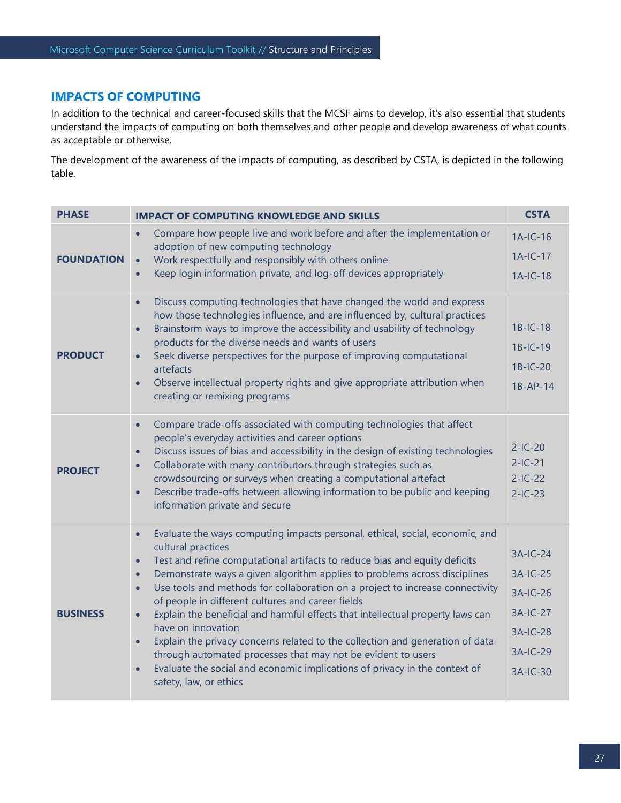# **IMPACTS OF COMPUTING**

In addition to the technical and career-focused skills that the MCSF aims to develop, it's also essential that students understand the impacts of computing on both themselves and other people and develop awareness of what counts as acceptable or otherwise.

The development of the awareness of the impacts of computing, as described by CSTA, is depicted in the following table.

| <b>PHASE</b>      | <b>IMPACT OF COMPUTING KNOWLEDGE AND SKILLS</b>                                                                                                                                                                                                                                                                                                                                                                                                                                                                                                                                                                                                                                                                                                                                                                                                                 |                                                                                    |  |
|-------------------|-----------------------------------------------------------------------------------------------------------------------------------------------------------------------------------------------------------------------------------------------------------------------------------------------------------------------------------------------------------------------------------------------------------------------------------------------------------------------------------------------------------------------------------------------------------------------------------------------------------------------------------------------------------------------------------------------------------------------------------------------------------------------------------------------------------------------------------------------------------------|------------------------------------------------------------------------------------|--|
| <b>FOUNDATION</b> | Compare how people live and work before and after the implementation or<br>$\bullet$<br>adoption of new computing technology<br>Work respectfully and responsibly with others online<br>$\bullet$<br>Keep login information private, and log-off devices appropriately<br>$\bullet$                                                                                                                                                                                                                                                                                                                                                                                                                                                                                                                                                                             | $1A-IC-16$<br>$1A-IC-17$<br>$1A-IC-18$                                             |  |
| <b>PRODUCT</b>    | Discuss computing technologies that have changed the world and express<br>$\bullet$<br>how those technologies influence, and are influenced by, cultural practices<br>Brainstorm ways to improve the accessibility and usability of technology<br>$\bullet$<br>products for the diverse needs and wants of users<br>Seek diverse perspectives for the purpose of improving computational<br>$\bullet$<br>artefacts<br>Observe intellectual property rights and give appropriate attribution when<br>$\bullet$<br>creating or remixing programs                                                                                                                                                                                                                                                                                                                  | $1B-IC-18$<br>$1B-IC-19$<br>$1B-IC-20$<br>$1B-AP-14$                               |  |
| <b>PROJECT</b>    | Compare trade-offs associated with computing technologies that affect<br>$\bullet$<br>people's everyday activities and career options<br>Discuss issues of bias and accessibility in the design of existing technologies<br>$\bullet$<br>Collaborate with many contributors through strategies such as<br>$\bullet$<br>crowdsourcing or surveys when creating a computational artefact<br>Describe trade-offs between allowing information to be public and keeping<br>$\bullet$<br>information private and secure                                                                                                                                                                                                                                                                                                                                              | $2-IC-20$<br>$2-IC-21$<br>$2-IC-22$<br>$2-IC-23$                                   |  |
| <b>BUSINESS</b>   | Evaluate the ways computing impacts personal, ethical, social, economic, and<br>$\bullet$<br>cultural practices<br>Test and refine computational artifacts to reduce bias and equity deficits<br>$\bullet$<br>Demonstrate ways a given algorithm applies to problems across disciplines<br>$\bullet$<br>Use tools and methods for collaboration on a project to increase connectivity<br>$\bullet$<br>of people in different cultures and career fields<br>Explain the beneficial and harmful effects that intellectual property laws can<br>$\bullet$<br>have on innovation<br>Explain the privacy concerns related to the collection and generation of data<br>$\bullet$<br>through automated processes that may not be evident to users<br>Evaluate the social and economic implications of privacy in the context of<br>$\bullet$<br>safety, law, or ethics | $3A-IC-24$<br>3A-IC-25<br>3A-IC-26<br>3A-IC-27<br>3A-IC-28<br>3A-IC-29<br>3A-IC-30 |  |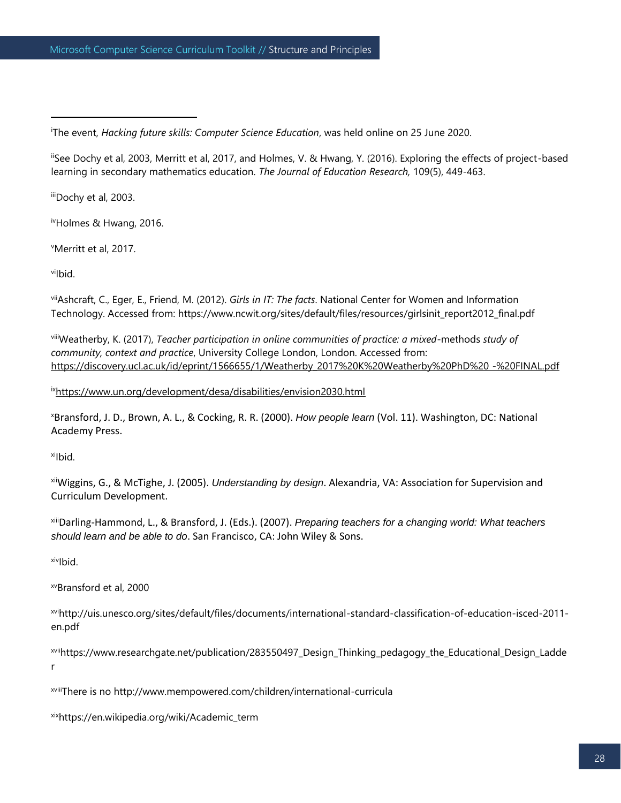<sup>i</sup>The event, *Hacking future skills: Computer Science Education*, was held online on 25 June 2020.

iiSee Dochy et al, 2003, Merritt et al, 2017, and Holmes, V. & Hwang, Y. (2016). Exploring the effects of project-based learning in secondary mathematics education. *The Journal of Education Research,* 109(5), 449-463.

iiiDochy et al, 2003.

ivHolmes & Hwang, 2016.

<sup>v</sup>Merritt et al, 2017.

viIbid.

viiAshcraft, C., Eger, E., Friend, M. (2012). *Girls in IT: The facts*. National Center for Women and Information Technology. Accessed from: https://www.ncwit.org/sites/default/files/resources/girlsinit\_report2012\_final.pdf

viiiWeatherby, K. (2017), *Teacher participation in online communities of practice: a mixed*-methods *study of community, context and practice*, University College London, London. Accessed from: https://discovery.ucl.ac.uk/id/eprint/1566655/1/Weatherby\_2017%20K%20Weatherby%20PhD%20 -%20FINAL.pdf

ix<https://www.un.org/development/desa/disabilities/envision2030.html>

<sup>x</sup>Bransford, J. D., Brown, A. L., & Cocking, R. R. (2000). *How people learn* (Vol. 11). Washington, DC: National Academy Press.

xilbid.

xiiWiggins, G., & McTighe, J. (2005). *Understanding by design*. Alexandria, VA: Association for Supervision and Curriculum Development.

xiiiDarling-Hammond, L., & Bransford, J. (Eds.). (2007). *Preparing teachers for a changing world: What teachers should learn and be able to do*. San Francisco, CA: John Wiley & Sons.

xivIbid.

xvBransford et al, 2000

xvihttp://uis.unesco.org/sites/default/files/documents/international-standard-classification-of-education-isced-2011 en.pdf

xviihttps://www.researchgate.net/publication/283550497\_Design\_Thinking\_pedagogy\_the\_Educational\_Design\_Ladde r

xviiiThere is no http://www.mempowered.com/children/international-curricula

xixhttps://en.wikipedia.org/wiki/Academic\_term